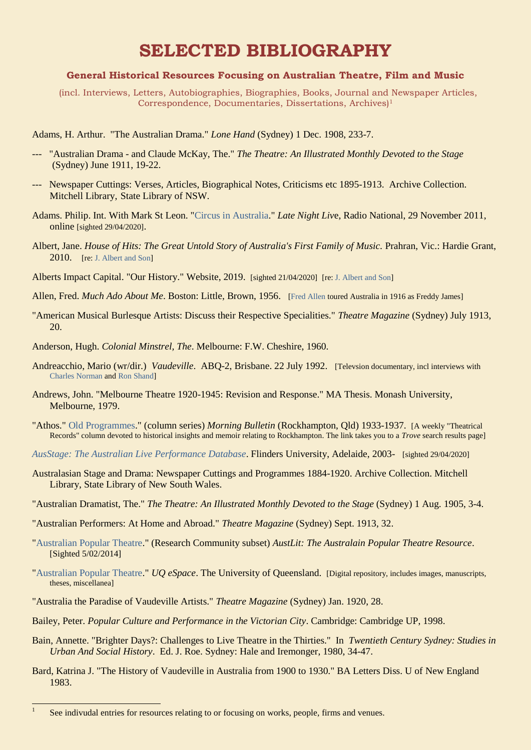## **SELECTED BIBLIOGRAPHY**

## **General Historical Resources Focusing on Australian Theatre, Film and Music**

 (incl. Interviews, Letters, Autobiographies, Biographies, Books, Journal and Newspaper Articles, Correspondence, Documentaries, Dissertations, Archives) 1

Adams, H. Arthur. "The Australian Drama." *Lone Hand* (Sydney) 1 Dec. 1908, 233-7.

- --- "Australian Drama and Claude McKay, The." *The Theatre: An Illustrated Monthly Devoted to the Stage* (Sydney) June 1911, 19-22.
- --- Newspaper Cuttings: Verses, Articles, Biographical Notes, Criticisms etc 1895-1913. Archive Collection. Mitchell Library, State Library of NSW.
- Adams. Philip. Int. With Mark St Leon. ["Circus in Australia.](http://www.abc.net.au/radionational/programs/latenightlive/circus-in-australia/3702266)" *Late Night Liv*e, Radio National, 29 November 2011, online [sighted 29/04/2020].
- Albert, Jane. *House of Hits: The Great Untold Story of Australia's First Family of Music.* Prahran, Vic.: Hardie Grant, 2010. [re[: J. Albert and Son\]](Jane)
- Alberts Impact Capital. "Our History." Website, 2019. [sighted 21/04/2020] [re: [J. Albert and Son\]](Jane)
- Allen, Fred. *Much Ado About Me*. Boston: Little, Brown, 1956. [\[Fred Allen](https://ozvta.com/international-tourists/) toured Australia in 1916 as Freddy James]
- "American Musical Burlesque Artists: Discuss their Respective Specialities." *Theatre Magazine* (Sydney) July 1913, 20.
- Anderson, Hugh. *Colonial Minstrel, The*. Melbourne: F.W. Cheshire, 1960.
- Andreacchio, Mario (wr/dir.) *Vaudeville*. ABQ-2, Brisbane. 22 July 1992. [Televsion documentary, incl interviews with [Charles Norman](https://ozvta.com/practitioners-n/) an[d Ron Shand\]](https://ozvta.com/practitioners-s/)
- Andrews, John. "Melbourne Theatre 1920-1945: Revision and Response." MA Thesis. Monash University, Melbourne, 1979.
- "Athos." [Old Programmes.](http://trove.nla.gov.au/newspaper/result?l-textSearchScope=headings&exactPhrase=Old+Programmes&l-title=77&l-word=*ignore*|*ignore*&fromyyyy=1933&q=¬Words=pluto&anyWords=&tomm=&toyyyy=1938&todd=&frommm=&fromdd=&sortby=dateAsc)" (column series) *Morning Bulletin* (Rockhampton, Qld) 1933-1937. [A weekly "Theatrical Records" column devoted to historical insights and memoir relating to Rockhampton. The link takes you to a *Trove* search results page]
- *[AusStage: The Australian Live Performance Database](https://www.ausstage.edu.au/pages/browse/)*. Flinders University, Adelaide, 2003- [sighted 29/04/2020]
- Australasian Stage and Drama: Newspaper Cuttings and Programmes 1884-1920. Archive Collection. Mitchell Library, State Library of New South Wales.
- "Australian Dramatist, The." *The Theatre: An Illustrated Monthly Devoted to the Stage* (Sydney) 1 Aug. 1905, 3-4.
- "Australian Performers: At Home and Abroad." *Theatre Magazine* (Sydney) Sept. 1913, 32.
- ["Australian Popular Theatre.](http://www.austlit.edu.au/austlit/page/5960606)" (Research Community subset) *AustLit: The Australain Popular Theatre Resource*. [Sighted 5/02/2014]
- ["Australian Popular Theatre.](http://espace.library.uq.edu.au/collection/UQ:119942)" *UQ eSpace*. The University of Queensland. [Digital repository, includes images, manuscripts, theses, miscellanea]
- "Australia the Paradise of Vaudeville Artists." *Theatre Magazine* (Sydney) Jan. 1920, 28.
- Bailey, Peter. *Popular Culture and Performance in the Victorian City*. Cambridge: Cambridge UP, 1998.
- Bain, Annette. "Brighter Days?: Challenges to Live Theatre in the Thirties." In *Twentieth Century Sydney: Studies in Urban And Social History*. Ed. J. Roe. Sydney: Hale and Iremonger, 1980, 34-47.
- Bard, Katrina J. "The History of Vaudeville in Australia from 1900 to 1930." BA Letters Diss. U of New England 1983.

 $\frac{1}{1}$ 

See indivudal entries for resources relating to or focusing on works, people, firms and venues.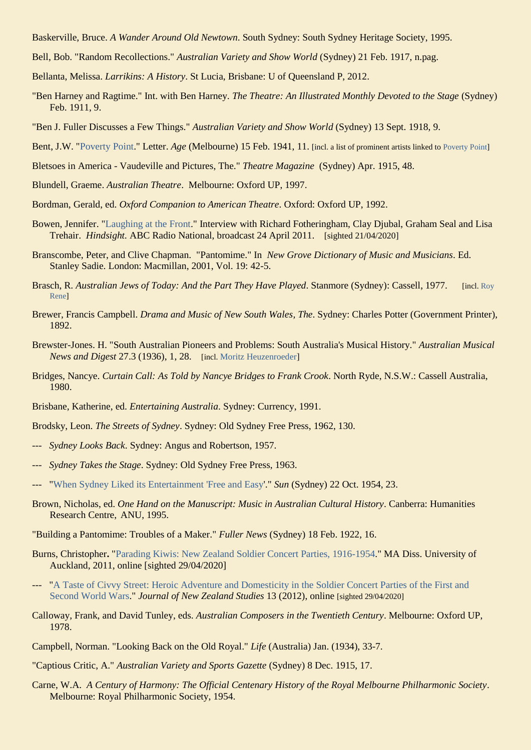- Baskerville, Bruce. *A Wander Around Old Newtown*. South Sydney: South Sydney Heritage Society, 1995.
- Bell, Bob. "Random Recollections." *Australian Variety and Show World* (Sydney) 21 Feb. 1917, n.pag.
- Bellanta, Melissa. *Larrikins: A History*. St Lucia, Brisbane: U of Queensland P, 2012.
- "Ben Harney and Ragtime." Int. with Ben Harney. *The Theatre: An Illustrated Monthly Devoted to the Stage* (Sydney) Feb. 1911, 9.
- "Ben J. Fuller Discusses a Few Things." *Australian Variety and Show World* (Sydney) 13 Sept. 1918, 9.
- Bent, J.W. ["Poverty Point.](http://trove.nla.gov.au/newspaper/page/19418861)" Letter. *Age* (Melbourne) 15 Feb. 1941, 11. [incl. a list of prominent artists linked to [Poverty Point\]](https://ozvta.com/industry-misc-2/7/)
- Bletsoes in America Vaudeville and Pictures, The." *Theatre Magazine* (Sydney) Apr. 1915, 48.
- Blundell, Graeme. *Australian Theatre*. Melbourne: Oxford UP, 1997.
- Bordman, Gerald, ed. *Oxford Companion to American Theatre*. Oxford: Oxford UP, 1992.
- Bowen, Jennifer. ["Laughing at the Front.](http://www.abc.net.au/radionational/programs/hindsight/laughing-at-the-front/2999504)" Interview with Richard Fotheringham, Clay Djubal, Graham Seal and Lisa Trehair. *Hindsight.* ABC Radio National, broadcast 24 April 2011. [sighted 21/04/2020]
- Branscombe, Peter, and Clive Chapman. "Pantomime." In *New Grove Dictionary of Music and Musicians*. Ed. Stanley Sadie. London: Macmillan, 2001, Vol. 19: 42-5.
- Brasch, R. *Australian Jews of Today: And the Part They Have Played*. Stanmore (Sydney): Cassell, 1977. [incl[. Roy](https://ozvta.com/practitioners-r/)  [Rene\]](https://ozvta.com/practitioners-r/)
- Brewer, Francis Campbell. *Drama and Music of New South Wales, The*. Sydney: Charles Potter (Government Printer), 1892.
- Brewster-Jones. H. "South Australian Pioneers and Problems: South Australia's Musical History." *Australian Musical News and Digest* 27.3 (1936), 1, 28. [incl. [Moritz Heuzenroeder\]](https://ozvta.com/music-directors-composers-other/)
- Bridges, Nancye. *Curtain Call: As Told by Nancye Bridges to Frank Crook*. North Ryde, N.S.W.: Cassell Australia, 1980.
- Brisbane, Katherine, ed. *Entertaining Australia*. Sydney: Currency, 1991.
- Brodsky, Leon. *The Streets of Sydney*. Sydney: Old Sydney Free Press, 1962, 130.
- --- *Sydney Looks Back*. Sydney: Angus and Robertson, 1957.
- --- *Sydney Takes the Stage*. Sydney: Old Sydney Free Press, 1963.
- ["When Sydney Liked its Entertainment 'Free and Easy'.](http://trove.nla.gov.au/newspaper/article/229222226)" *Sun* (Sydney) 22 Oct. 1954, 23.
- Brown, Nicholas, ed. *One Hand on the Manuscript: Music in Australian Cultural History*. Canberra: Humanities Research Centre, ANU, 1995.
- "Building a Pantomime: Troubles of a Maker." *Fuller News* (Sydney) 18 Feb. 1922, 16.
- Burns, Christopher**.** ["Parading Kiwis: New Zealand Soldier Concert Parties, 1916-1954.](https://researchspace.auckland.ac.nz/bitstream/handle/2292/13600/whole.pdf?sequence=2)" MA Diss. University of Auckland, 2011, online [sighted 29/04/2020]
- --- ["A Taste of Civvy Street: Heroic Adventure and Domesticity in the Soldier Concert Parties of the First and](https://ojs.victoria.ac.nz/jnzs/article/view/1196)  [Second World Wars.](https://ojs.victoria.ac.nz/jnzs/article/view/1196)" *Journal of New Zealand Studies* 13 (2012), online [sighted 29/04/2020]
- Calloway, Frank, and David Tunley, eds. *Australian Composers in the Twentieth Century*. Melbourne: Oxford UP, 1978.
- Campbell, Norman. "Looking Back on the Old Royal." *Life* (Australia) Jan. (1934), 33-7.
- "Captious Critic, A." *Australian Variety and Sports Gazette* (Sydney) 8 Dec. 1915, 17.
- Carne, W.A. *A Century of Harmony: The Official Centenary History of the Royal Melbourne Philharmonic Society*. Melbourne: Royal Philharmonic Society, 1954.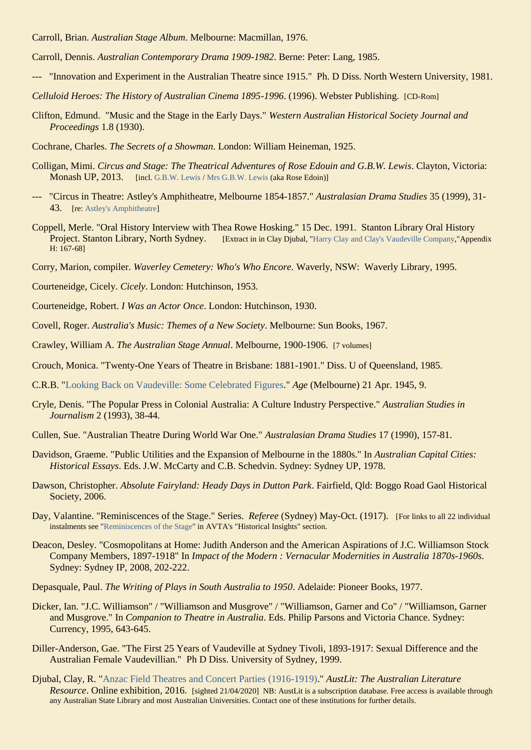Carroll, Brian. *Australian Stage Album*. Melbourne: Macmillan, 1976.

Carroll, Dennis. *Australian Contemporary Drama 1909-1982*. Berne: Peter: Lang, 1985.

- --- "Innovation and Experiment in the Australian Theatre since 1915." Ph. D Diss. North Western University, 1981.
- *Celluloid Heroes: The History of Australian Cinema 1895-1996*. (1996). Webster Publishing. [CD-Rom]
- Clifton, Edmund. "Music and the Stage in the Early Days." *Western Australian Historical Society Journal and Proceedings* 1.8 (1930).
- Cochrane, Charles. *The Secrets of a Showman*. London: William Heineman, 1925.
- Colligan, Mimi. *Circus and Stage: The Theatrical Adventures of Rose Edouin and G.B.W. Lewis*. Clayton, Victoria: **Monash UP, 2013.** [incl. [G.B.W. Lewis](https://ozvta.com/entrepreneurs-g-l/) / [Mrs G.B.W. Lewis](https://ozvta.com/practitioners-other-a-l/) (aka Rose Edoin)]
- --- "Circus in Theatre: Astley's Amphitheatre, Melbourne 1854-1857." *Australasian Drama Studies* 35 (1999), 31- 43. [re[: Astley's Amphitheatre\]](https://ozvta.com/theatres-vic/)
- Coppell, Merle. "Oral History Interview with Thea Rowe Hosking." 15 Dec. 1991. Stanton Library Oral History Project. Stanton Library, North Sydney. [Extract in in Clay Djubal, ["Harry Clay and Clay's Vaudeville Company,](https://ozvta.com/dissertations/)"Appendix H: 167-68]
- Corry, Marion, compiler. *Waverley Cemetery: Who's Who Encore.* Waverly, NSW: Waverly Library, 1995.
- Courteneidge, Cicely. *Cicely*. London: Hutchinson, 1953.
- Courteneidge, Robert. *I Was an Actor Once*. London: Hutchinson, 1930.
- Covell, Roger. *Australia's Music: Themes of a New Society*. Melbourne: Sun Books, 1967.
- Crawley, William A. *The Australian Stage Annual*. Melbourne, 1900-1906. [7 volumes]
- Crouch, Monica. "Twenty-One Years of Theatre in Brisbane: 1881-1901." Diss. U of Queensland, 1985.
- C.R.B. ["Looking Back on Vaudeville: Some Celebrated Figures.](http://trove.nla.gov.au/newspaper/article/206868709)" *Age* (Melbourne) 21 Apr. 1945, 9.
- Cryle, Denis. "The Popular Press in Colonial Australia: A Culture Industry Perspective." *Australian Studies in Journalism* 2 (1993), 38-44.
- Cullen, Sue. "Australian Theatre During World War One." *Australasian Drama Studies* 17 (1990), 157-81.
- Davidson, Graeme. "Public Utilities and the Expansion of Melbourne in the 1880s." In *Australian Capital Cities: Historical Essays*. Eds. J.W. McCarty and C.B. Schedvin. Sydney: Sydney UP, 1978.
- Dawson, Christopher. *Absolute Fairyland: Heady Days in Dutton Park*. Fairfield, Qld: Boggo Road Gaol Historical Society, 2006.
- Day, Valantine. "Reminiscences of the Stage." Series. *Referee* (Sydney) May-Oct. (1917). [For links to all 22 individual instalments see ["Reminiscences](https://ozvta.com/historical-insights/) of the Stage" in AVTA's "Historical Insights" section.
- Deacon, Desley. "Cosmopolitans at Home: Judith Anderson and the American Aspirations of J.C. Williamson Stock Company Members, 1897-1918" In *Impact of the Modern : Vernacular Modernities in Australia 1870s-1960s*. Sydney: Sydney IP, 2008, 202-222.
- Depasquale, Paul. *The Writing of Plays in South Australia to 1950*. Adelaide: Pioneer Books, 1977.
- Dicker, Ian. "J.C. Williamson" / "Williamson and Musgrove" / "Williamson, Garner and Co" / "Williamson, Garner and Musgrove." In *Companion to Theatre in Australia*. Eds. Philip Parsons and Victoria Chance. Sydney: Currency, 1995, 643-645.
- Diller-Anderson, Gae. "The First 25 Years of Vaudeville at Sydney Tivoli, 1893-1917: Sexual Difference and the Australian Female Vaudevillian." Ph D Diss. University of Sydney, 1999.
- Djubal, Clay, R. ["Anzac Field Theatres and Concert Parties \(1916-1919\).](https://www-austlit-edu-au.ezproxy.slq.qld.gov.au/austlit/page/7539329)" *AustLit: The Australian Literature Resource*. Online exhibition, 2016. [sighted 21/04/2020] NB: AustLit is a subscription database. Free access is available through any Australian State Library and most Australian Universities. Contact one of these institutions for further details.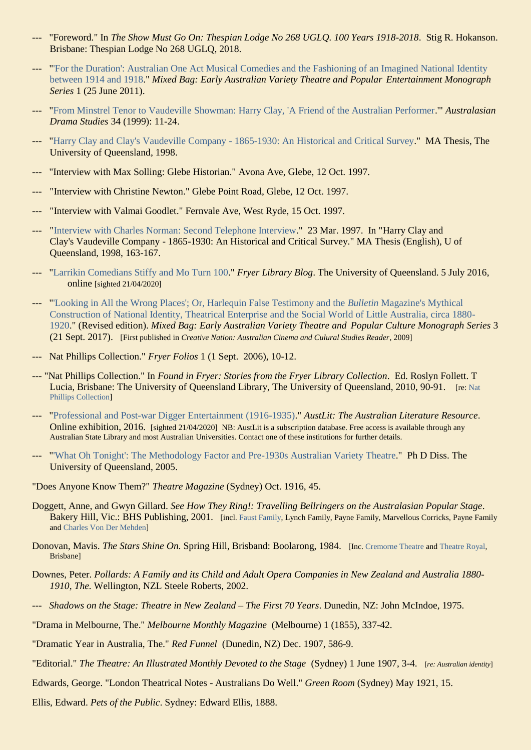- "Foreword." In *The Show Must Go On: Thespian Lodge No 268 UGLO. 100 Years 1918-2018*. Stig R. Hokanson. Brisbane: Thespian Lodge No 268 UGLQ, 2018.
- --- ["'For the Duration': Australian One Act Musical Comedies and the Fashioning of an Imagined National Identity](https://ozvta.com/mixed-bag/)  [between 1914 and 1918.](https://ozvta.com/mixed-bag/)" *Mixed Bag: Early Australian Variety Theatre and Popular Entertainment Monograph Series* 1 (25 June 2011).
- --- ["From Minstrel Tenor to Vaudeville Showman: Harry Clay, 'A Friend of the Australian Performer.](https://ozvta.com/entrepreneurs-a-f/)'" *Australasian Drama Studies* 34 (1999): 11-24.
- --- ["Harry Clay and Clay's Vaudeville Company -](https://ozvta.com/dissertations/) 1865-1930: An Historical and Critical Survey." MA Thesis, The University of Queensland, 1998.
- "Interview with Max Solling: Glebe Historian." Avona Ave, Glebe, 12 Oct. 1997.
- "Interview with Christine Newton." Glebe Point Road, Glebe, 12 Oct. 1997.
- "Interview with Valmai Goodlet." Fernvale Ave, West Ryde, 15 Oct. 1997.
- ["Interview with Charles Norman: Second Telephone Interview.](https://ozvta.com/dissertations/)" 23 Mar. 1997. In "Harry Clay and Clay's Vaudeville Company - 1865-1930: An Historical and Critical Survey." MA Thesis (English), U of Queensland, 1998, 163-167.
- ["Larrikin Comedians Stiffy and Mo Turn 100.](https://web.library.uq.edu.au/blog/2016/07/larrikin-comedians-stiffy-and-mo-turn-100)" *Fryer Library Blog*. The University of Queensland. 5 July 2016, online [sighted 21/04/2020]
- --- ["'Looking in All the Wrong Places'; Or, Harlequin False Testimony and the](https://ozvta.com/mixed-bag/) *Bulletin* Magazine's Mythical Construction [of National Identity, Theatrical Enterprise and the Social World of Little Australia, circa 1880-](https://ozvta.com/mixed-bag/) [1920.](https://ozvta.com/mixed-bag/)" (Revised edition). *Mixed Bag: Early Australian Variety Theatre and Popular Culture Monograph Series* 3 (21 Sept. 2017). [First published in *Creative Nation: Australian Cinema and Culural Studies Reader*, 2009]
- --- Nat Phillips Collection." *Fryer Folios* 1 (1 Sept. 2006), 10-12.
- --- "Nat Phillips Collection." In *Found in Fryer: Stories from the Fryer Library Collection*. Ed. Roslyn Follett. T Lucia, Brisbane: The University of Queensland Library, The University of Queensland, 2010, 90-91. [re[: Nat](https://ozvta.com/repositories/)  [Phillips Collection\]](https://ozvta.com/repositories/)
- --- ["Professional and Post-war Digger Entertainment \(1916-1935\).](https://www-austlit-edu-au.ezproxy.slq.qld.gov.au/austlit/page/7555005)" *AustLit: The Australian Literature Resource*. Online exhibition, 2016. [sighted 21/04/2020] NB: AustLit is a subscription database. Free access is available through any Australian State Library and most Australian Universities. Contact one of these institutions for further details.
- --- ["'What Oh Tonight': The Methodology Factor and Pre-1930s Australian Variety Theatre.](https://ozvta.com/dissertations/)" Ph D Diss. The University of Queensland, 2005.
- "Does Anyone Know Them?" *Theatre Magazine* (Sydney) Oct. 1916, 45.
- Doggett, Anne, and Gwyn Gillard. *See How They Ring!: Travelling Bellringers on the Australasian Popular Stage*. Bakery Hill, Vic.: BHS Publishing, 2001. [incl. [Faust Family,](https://ozvta.com/troupes-a-f/) Lynch Family, Payne Family, Marvellous Corricks, Payne Family and [Charles Von Der Mehden\]](https://ozvta.com/music-directors-composers-variety/)
- Donovan, Mavis. *The Stars Shine On*. Spring Hill, Brisband: Boolarong, 1984. [Inc[. Cremorne Theatre](https://ozvta.com/theatres-qld/) and [Theatre Royal,](https://ozvta.com/theatres-qld/) Brisbane]
- Downes, Peter. *Pollards: A Family and its Child and Adult Opera Companies in New Zealand and Australia 1880- 1910, The.* Wellington, NZL Steele Roberts, 2002.
- --- *Shadows on the Stage: Theatre in New Zealand – The First 70 Years*. Dunedin, NZ: John McIndoe, 1975.
- "Drama in Melbourne, The." *Melbourne Monthly Magazine* (Melbourne) 1 (1855), 337-42.
- "Dramatic Year in Australia, The." *Red Funnel* (Dunedin, NZ) Dec. 1907, 586-9.
- "Editorial." *The Theatre: An Illustrated Monthly Devoted to the Stage* (Sydney) 1 June 1907, 3-4. [*re: Australian identity*]
- Edwards, George. "London Theatrical Notes Australians Do Well." *Green Room* (Sydney) May 1921, 15.
- Ellis, Edward. *Pets of the Public*. Sydney: Edward Ellis, 1888.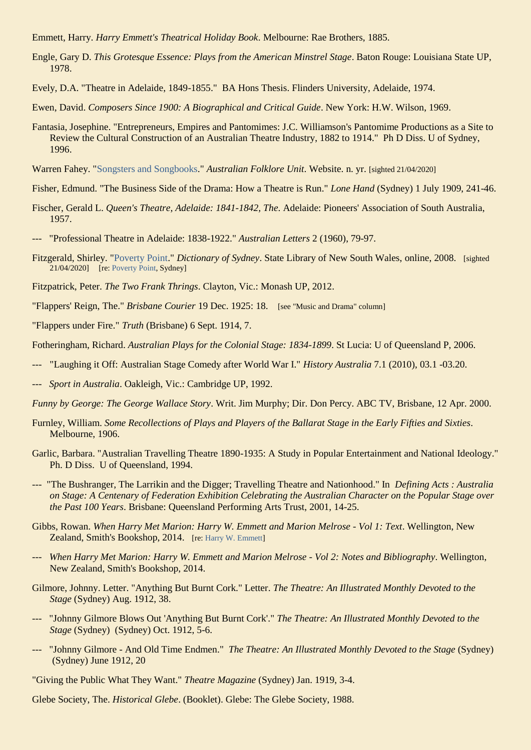Emmett, Harry. *Harry Emmett's Theatrical Holiday Book*. Melbourne: Rae Brothers, 1885.

- Engle, Gary D. *This Grotesque Essence: Plays from the American Minstrel Stage*. Baton Rouge: Louisiana State UP, 1978.
- Evely, D.A. "Theatre in Adelaide, 1849-1855." BA Hons Thesis. Flinders University, Adelaide, 1974.
- Ewen, David. *Composers Since 1900: A Biographical and Critical Guide*. New York: H.W. Wilson, 1969.
- Fantasia, Josephine. "Entrepreneurs, Empires and Pantomimes: J.C. Williamson's Pantomime Productions as a Site to Review the Cultural Construction of an Australian Theatre Industry, 1882 to 1914." Ph D Diss. U of Sydney, 1996.
- Warren Fahey. ["Songsters and Songbooks.](https://www.warrenfahey.com.au/enter-the-collection/the-collection-m-z/songsters-songbooks/)" *Australian Folklore Unit*. Website. n. yr. [sighted 21/04/2020]
- Fisher, Edmund. "The Business Side of the Drama: How a Theatre is Run." *Lone Hand* (Sydney) 1 July 1909, 241-46.
- Fischer, Gerald L. *Queen's Theatre, Adelaide: 1841-1842, The*. Adelaide: Pioneers' Association of South Australia, 1957.
- --- "Professional Theatre in Adelaide: 1838-1922." *Australian Letters* 2 (1960), 79-97.
- Fitzgerald, Shirley. ["Poverty Point.](http://dictionaryofsydney.org/entry/poverty_point)" *Dictionary of Sydney*. State Library of New South Wales, online, 2008. [sighted 21/04/2020] [re[: Poverty Point,](https://ozvta.com/industry-misc-2/7/) Sydney]
- Fitzpatrick, Peter. *The Two Frank Thrings*. Clayton, Vic.: Monash UP, 2012.
- "Flappers' Reign, The." *Brisbane Courier* 19 Dec. 1925: 18. [see "Music and Drama" column]
- "Flappers under Fire." *Truth* (Brisbane) 6 Sept. 1914, 7.
- Fotheringham, Richard. *Australian Plays for the Colonial Stage: 1834-1899*. St Lucia: U of Queensland P, 2006.
- "Laughing it Off: Australian Stage Comedy after World War I." *History Australia* 7.1 (2010), 03.1 -03.20.
- --- *Sport in Australia*. Oakleigh, Vic.: Cambridge UP, 1992.
- *Funny by George: The George Wallace Story*. Writ. Jim Murphy; Dir. Don Percy. ABC TV, Brisbane, 12 Apr. 2000.
- Furnley, William. *Some Recollections of Plays and Players of the Ballarat Stage in the Early Fifties and Sixties*. Melbourne, 1906.
- Garlic, Barbara. "Australian Travelling Theatre 1890-1935: A Study in Popular Entertainment and National Ideology." Ph. D Diss. U of Queensland, 1994.
- --- "The Bushranger, The Larrikin and the Digger; Travelling Theatre and Nationhood." In *Defining Acts : Australia on Stage: A Centenary of Federation Exhibition Celebrating the Australian Character on the Popular Stage over the Past 100 Years*. Brisbane: Queensland Performing Arts Trust, 2001, 14-25.
- Gibbs, Rowan. *When Harry Met Marion: Harry W. Emmett and Marion Melrose - Vol 1: Text*. Wellington, New Zealand, Smith's Bookshop, 2014. [re: [Harry W. Emmett\]](https://ozvta.com/practitioners-e/)
- --- *When Harry Met Marion: Harry W. Emmett and Marion Melrose - Vol 2: Notes and Bibliography*. Wellington, New Zealand, Smith's Bookshop, 2014.
- Gilmore, Johnny. Letter. "Anything But Burnt Cork." Letter. *The Theatre: An Illustrated Monthly Devoted to the Stage* (Sydney) Aug. 1912, 38.
- --- "Johnny Gilmore Blows Out 'Anything But Burnt Cork'." *The Theatre: An Illustrated Monthly Devoted to the Stage* (Sydney) (Sydney) Oct. 1912, 5-6.
- --- "Johnny Gilmore And Old Time Endmen." *The Theatre: An Illustrated Monthly Devoted to the Stage* (Sydney) (Sydney) June 1912, 20

"Giving the Public What They Want." *Theatre Magazine* (Sydney) Jan. 1919, 3-4.

Glebe Society, The. *Historical Glebe*. (Booklet). Glebe: The Glebe Society, 1988.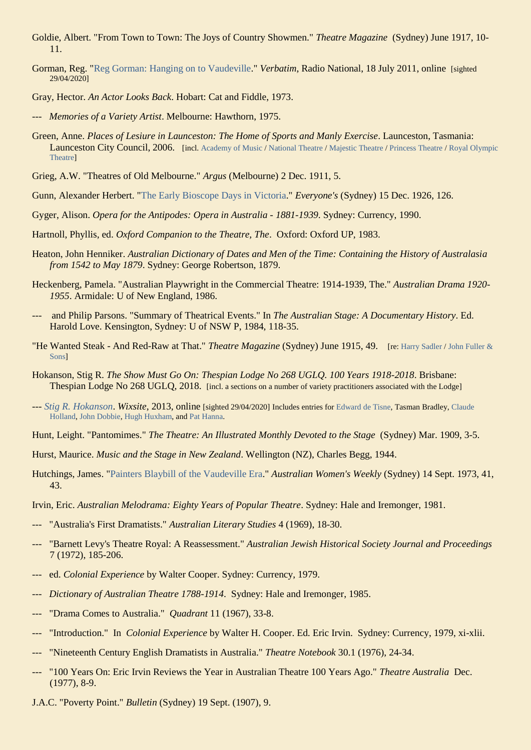- Goldie, Albert. "From Town to Town: The Joys of Country Showmen." *Theatre Magazine* (Sydney) June 1917, 10- 11.
- Gorman, Reg. ["Reg Gorman: Hanging on to Vaudeville.](http://www.abc.net.au/radionational/programs/verbatim/reg-gorman-hanging-on-to-vaudeville/2913880)" *Verbatim*, Radio National, 18 July 2011, online [sighted 29/04/2020]
- Gray, Hector. *An Actor Looks Back*. Hobart: Cat and Fiddle, 1973.
- --- *Memories of a Variety Artist*. Melbourne: Hawthorn, 1975.
- Green, Anne. *Places of Lesiure in Launceston: The Home of Sports and Manly Exercise*. Launceston, Tasmania: Launceston City Council, 2006. [incl[. Academy of Music](https://ozvta.com/theatres-tas/2/) [/ National Theatre](https://ozvta.com/theatres-tas/2/) / [Majestic Theatre](https://ozvta.com/theatres-tas/2/) [/ Princess Theatre](https://ozvta.com/theatres-tas/2/) / Royal Olympic [Theatre\]](https://ozvta.com/theatres-tas/2/)
- Grieg, A.W. "Theatres of Old Melbourne." *Argus* (Melbourne) 2 Dec. 1911, 5.
- Gunn, Alexander Herbert. ["The Early Bioscope Days in Victoria.](https://nla.gov.au/nla.obj-581008548/view?partId=nla.obj-581044967#page/n139/mode/1up)" *Everyone's* (Sydney) 15 Dec. 1926, 126.
- Gyger, Alison. *Opera for the Antipodes: Opera in Australia - 1881-1939*. Sydney: Currency, 1990.
- Hartnoll, Phyllis, ed. *Oxford Companion to the Theatre, The*. Oxford: Oxford UP, 1983.
- Heaton, John Henniker. *Australian Dictionary of Dates and Men of the Time: Containing the History of Australasia from 1542 to May 1879*. Sydney: George Robertson, 1879.
- Heckenberg, Pamela. "Australian Playwright in the Commercial Theatre: 1914-1939, The." *Australian Drama 1920- 1955*. Armidale: U of New England, 1986.
- --- and Philip Parsons. "Summary of Theatrical Events." In *The Australian Stage: A Documentary History*. Ed. Harold Love. Kensington, Sydney: U of NSW P, 1984, 118-35.
- "He Wanted Steak And Red-Raw at That." *Theatre Magazine* (Sydney) June 1915, 49. [re[: Harry Sadler](https://ozvta.com/entrepreneurs-s-z/) / [John Fuller &](https://ozvta.com/organisations-a-l/)  [Sons\]](https://ozvta.com/organisations-a-l/)
- Hokanson, Stig R. *The Show Must Go On: Thespian Lodge No 268 UGLQ. 100 Years 1918-2018*. Brisbane: Thespian Lodge No 268 UGLQ, 2018. [incl. a sections on a number of variety practitioners associated with the Lodge]
- --- *[Stig R. Hokanson](https://hokanson44.wixsite.com/hokanson)*. *Wixsite*, 2013, online [sighted 29/04/2020] Includes entries for [Edward de Tisne,](https://ozvta.com/practitioners-d/) Tasman Bradley, [Claude](https://ozvta.com/practitioners-h/)  [Holland,](https://ozvta.com/practitioners-h/) [John Dobbie,](https://ozvta.com/practitioners-d/) [Hugh Huxham,](https://ozvta.com/practitioners-h/) an[d Pat Hanna.](https://ozvta.com/entrepreneurs-g-l/)
- Hunt, Leight. "Pantomimes." *The Theatre: An Illustrated Monthly Devoted to the Stage* (Sydney) Mar. 1909, 3-5.
- Hurst, Maurice. *Music and the Stage in New Zealand*. Wellington (NZ), Charles Begg, 1944.
- Hutchings, James. ["Painters Blaybill of the Vaudeville Era.](http://trove.nla.gov.au/newspaper/article/46453280)" *Australian Women's Weekly* (Sydney) 14 Sept. 1973, 41, 43.
- Irvin, Eric. *Australian Melodrama: Eighty Years of Popular Theatre*. Sydney: Hale and Iremonger, 1981.
- <sup>"</sup> Australia's First Dramatists." *Australian Literary Studies* 4 (1969), 18-30.
- <sup>--</sup> "Barnett Levy's Theatre Royal: A Reassessment." *Australian Jewish Historical Society Journal and Proceedings* 7 (1972), 185-206.
- --- ed. *Colonial Experience* by Walter Cooper. Sydney: Currency, 1979.
- --- *Dictionary of Australian Theatre 1788-1914*. Sydney: Hale and Iremonger, 1985.
- <sup>"</sup>Drama Comes to Australia." *Quadrant* 11 (1967), 33-8.
- "Introduction." In *Colonial Experience* by Walter H. Cooper. Ed. Eric Irvin. Sydney: Currency, 1979, xi-xlii.
- --- "Nineteenth Century English Dramatists in Australia." *Theatre Notebook* 30.1 (1976), 24-34.
- <sup>--</sup> "100 Years On: Eric Irvin Reviews the Year in Australian Theatre 100 Years Ago." *Theatre Australia* Dec. (1977), 8-9.
- J.A.C. "Poverty Point." *Bulletin* (Sydney) 19 Sept. (1907), 9.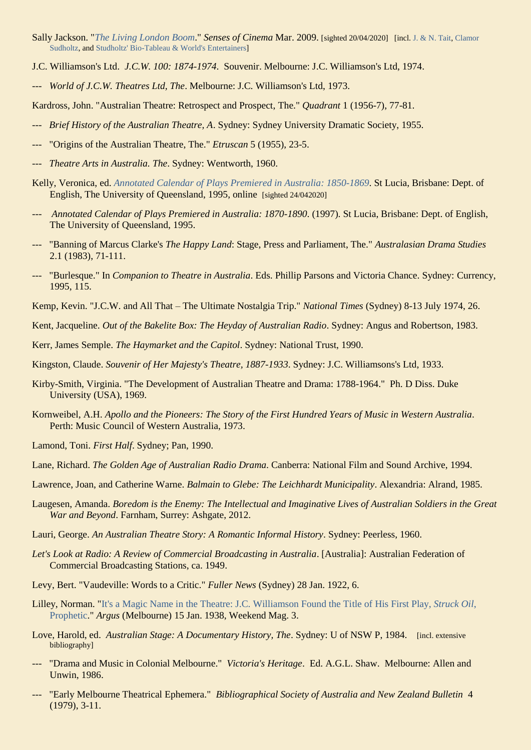- Sally Jackson. "*[The Living London Boom](http://sensesofcinema.com/2009/feature-articles/living-london-sally-jackson/)*." *Senses of Cinema* Mar. 2009. [sighted 20/04/2020] [incl. [J. & N. Tait,](https://ozvta.com/organisations-a-l/) [Clamor](https://ozvta.com/entrepreneurs-s-z/)  [Sudholtz,](https://ozvta.com/entrepreneurs-s-z/) an[d Studholtz' Bio-Tableau & World's Entertainers\]](https://ozvta.com/troupes-s-z/)
- J.C. Williamson's Ltd. *J.C.W. 100: 1874-1974*. Souvenir. Melbourne: J.C. Williamson's Ltd, 1974.
- --- *World of J.C.W. Theatres Ltd, The*. Melbourne: J.C. Williamson's Ltd, 1973.

Kardross, John. "Australian Theatre: Retrospect and Prospect, The." *Quadrant* 1 (1956-7), 77-81.

- --- *Brief History of the Australian Theatre, A*. Sydney: Sydney University Dramatic Society, 1955.
- "Origins of the Australian Theatre, The." *Etruscan* 5 (1955), 23-5.
- Theatre Arts in Australia. The. Sydney: Wentworth, 1960.
- Kelly, Veronica, ed. *[Annotated Calendar of Plays Premiered in Australia: 1850-1869](http://espace.library.uq.edu.au/view/UQ:10249)*. St Lucia, Brisbane: Dept. of English, The University of Queensland, 1995, online [sighted 24/042020]
- Annotated Calendar of Plays Premiered in Australia: 1870-1890. (1997). St Lucia, Brisbane: Dept. of English, The University of Queensland, 1995.
- --- "Banning of Marcus Clarke's *The Happy Land*: Stage, Press and Parliament, The." *Australasian Drama Studies* 2.1 (1983), 71-111.
- --- "Burlesque." In *Companion to Theatre in Australia*. Eds. Phillip Parsons and Victoria Chance. Sydney: Currency, 1995, 115.
- Kemp, Kevin. "J.C.W. and All That The Ultimate Nostalgia Trip." *National Times* (Sydney) 8-13 July 1974, 26.
- Kent, Jacqueline. *Out of the Bakelite Box: The Heyday of Australian Radio*. Sydney: Angus and Robertson, 1983.
- Kerr, James Semple. *The Haymarket and the Capitol*. Sydney: National Trust, 1990.
- Kingston, Claude. *Souvenir of Her Majesty's Theatre, 1887-1933*. Sydney: J.C. Williamsons's Ltd, 1933.
- Kirby-Smith, Virginia. "The Development of Australian Theatre and Drama: 1788-1964." Ph. D Diss. Duke University (USA), 1969.
- Kornweibel, A.H. *Apollo and the Pioneers: The Story of the First Hundred Years of Music in Western Australia*. Perth: Music Council of Western Australia, 1973.
- Lamond, Toni. *First Half*. Sydney; Pan, 1990.
- Lane, Richard. *The Golden Age of Australian Radio Drama*. Canberra: National Film and Sound Archive, 1994.
- Lawrence, Joan, and Catherine Warne. *Balmain to Glebe: The Leichhardt Municipality*. Alexandria: Alrand, 1985.
- Laugesen, Amanda. *Boredom is the Enemy: The Intellectual and Imaginative Lives of Australian Soldiers in the Great War and Beyond*. Farnham, Surrey: Ashgate, 2012.
- Lauri, George. *An Australian Theatre Story: A Romantic Informal History*. Sydney: Peerless, 1960.
- *Let's Look at Radio: A Review of Commercial Broadcasting in Australia*. [Australia]: Australian Federation of Commercial Broadcasting Stations, ca. 1949.
- Levy, Bert. "Vaudeville: Words to a Critic." *Fuller News* (Sydney) 28 Jan. 1922, 6.
- Lilley, Norman. ["It's a Magic Name in the Theatre: J.C. Williamson Found the Title of His First Play,](http://trove.nla.gov.au/ndp/del/article/11140566) *Struck Oil*, [Prophetic.](http://trove.nla.gov.au/ndp/del/article/11140566)" *Argus* (Melbourne) 15 Jan. 1938, Weekend Mag. 3.
- Love, Harold, ed. *Australian Stage: A Documentary History, The*. Sydney: U of NSW P, 1984. [incl. extensive bibliography]
- "Drama and Music in Colonial Melbourne." *Victoria's Heritage*. Ed. A.G.L. Shaw. Melbourne: Allen and Unwin, 1986.
- <sup>---</sup> "Early Melbourne Theatrical Ephemera." *Bibliographical Society of Australia and New Zealand Bulletin* 4<sup>-</sup> (1979), 3-11.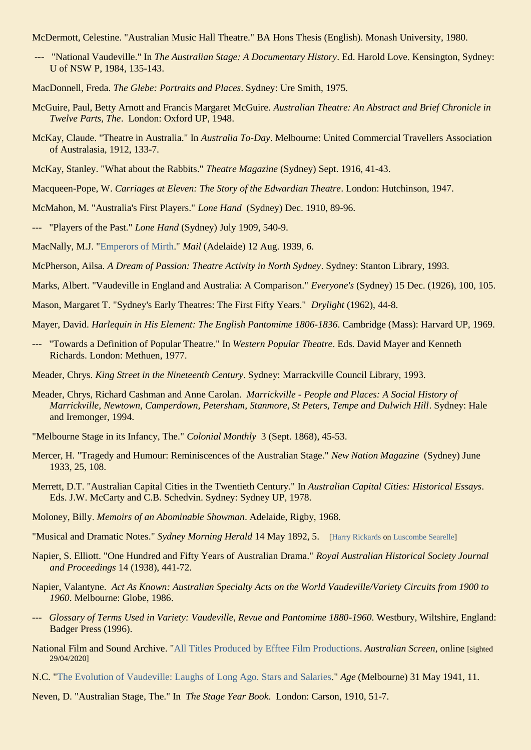McDermott, Celestine. "Australian Music Hall Theatre." BA Hons Thesis (English). Monash University, 1980.

- --- "National Vaudeville." In *The Australian Stage: A Documentary History*. Ed. Harold Love. Kensington, Sydney: U of NSW P, 1984, 135-143.
- MacDonnell, Freda. *The Glebe: Portraits and Places*. Sydney: Ure Smith, 1975.
- McGuire, Paul, Betty Arnott and Francis Margaret McGuire. *Australian Theatre: An Abstract and Brief Chronicle in Twelve Parts, The*. London: Oxford UP, 1948.
- McKay, Claude. "Theatre in Australia." In *Australia To-Day*. Melbourne: United Commercial Travellers Association of Australasia, 1912, 133-7.
- McKay, Stanley. "What about the Rabbits." *Theatre Magazine* (Sydney) Sept. 1916, 41-43.
- Macqueen-Pope, W. *Carriages at Eleven: The Story of the Edwardian Theatre*. London: Hutchinson, 1947.
- McMahon, M. "Australia's First Players." *Lone Hand* (Sydney) Dec. 1910, 89-96.
- --- "Players of the Past." *Lone Hand* (Sydney) July 1909, 540-9.
- MacNally, M.J. ["Emperors of Mirth.](http://trove.nla.gov.au/newspaper/page/4636166)" *Mail* (Adelaide) 12 Aug. 1939, 6.
- McPherson, Ailsa. *A Dream of Passion: Theatre Activity in North Sydney*. Sydney: Stanton Library, 1993.
- Marks, Albert. "Vaudeville in England and Australia: A Comparison." *Everyone's* (Sydney) 15 Dec. (1926), 100, 105.
- Mason, Margaret T. "Sydney's Early Theatres: The First Fifty Years." *Drylight* (1962), 44-8.
- Mayer, David. *Harlequin in His Element: The English Pantomime 1806-1836*. Cambridge (Mass): Harvard UP, 1969.
- --- "Towards a Definition of Popular Theatre." In *Western Popular Theatre*. Eds. David Mayer and Kenneth Richards. London: Methuen, 1977.
- Meader, Chrys. *King Street in the Nineteenth Century*. Sydney: Marrackville Council Library, 1993.
- Meader, Chrys, Richard Cashman and Anne Carolan. *Marrickville - People and Places: A Social History of Marrickville, Newtown, Camperdown, Petersham, Stanmore, St Peters, Tempe and Dulwich Hill*. Sydney: Hale and Iremonger, 1994.
- "Melbourne Stage in its Infancy, The." *Colonial Monthly* 3 (Sept. 1868), 45-53.
- Mercer, H. "Tragedy and Humour: Reminiscences of the Australian Stage." *New Nation Magazine* (Sydney) June 1933, 25, 108.
- Merrett, D.T. "Australian Capital Cities in the Twentieth Century." In *Australian Capital Cities: Historical Essays*. Eds. J.W. McCarty and C.B. Schedvin. Sydney: Sydney UP, 1978.
- Moloney, Billy. *Memoirs of an Abominable Showman*. Adelaide, Rigby, 1968.
- "Musical and Dramatic Notes." *Sydney Morning Herald* 14 May 1892, 5. [\[Harry Rickards](https://ozvta.com/entrepreneurs-m-r/) on [Luscombe Searelle\]](https://ozvta.com/music-directors-composers-other/)
- Napier, S. Elliott. "One Hundred and Fifty Years of Australian Drama." *Royal Australian Historical Society Journal and Proceedings* 14 (1938), 441-72.
- Napier, Valantyne. *Act As Known: Australian Specialty Acts on the World Vaudeville/Variety Circuits from 1900 to 1960*. Melbourne: Globe, 1986.
- --- *Glossary of Terms Used in Variety: Vaudeville, Revue and Pantomime 1880-1960*. Westbury, Wiltshire, England: Badger Press (1996).
- National Film and Sound Archive. ["All Titles Produced by Efftee Film Productions.](https://aso.gov.au/titles/companies/Efftee+Film+Productions/) *Australian Screen*, online [sighted 29/04/2020]
- N.C. ["The Evolution of Vaudeville: Laughs of Long Ago. Stars and Salaries.](http://nla.gov.au/nla.news-article205149923)" *Age* (Melbourne) 31 May 1941, 11.
- Neven, D. "Australian Stage, The." In *The Stage Year Book*. London: Carson, 1910, 51-7.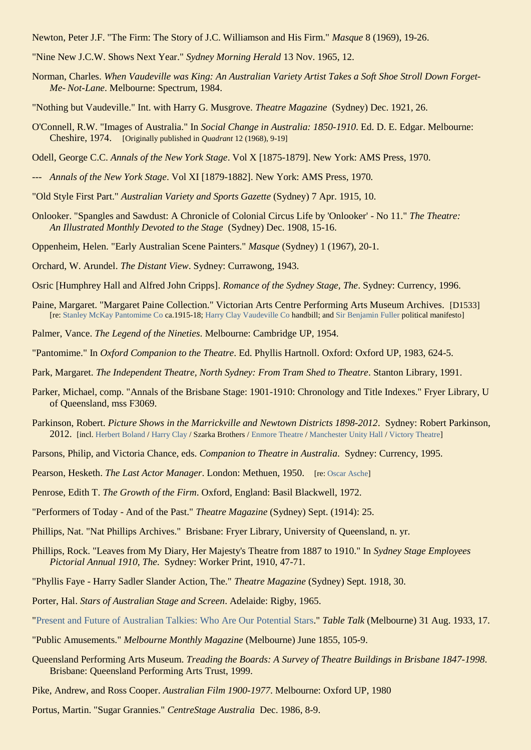Newton, Peter J.F. "The Firm: The Story of J.C. Williamson and His Firm." *Masque* 8 (1969), 19-26.

- "Nine New J.C.W. Shows Next Year." *Sydney Morning Herald* 13 Nov. 1965, 12.
- Norman, Charles. *When Vaudeville was King: An Australian Variety Artist Takes a Soft Shoe Stroll Down Forget-Me- Not-Lane*. Melbourne: Spectrum, 1984.
- "Nothing but Vaudeville." Int. with Harry G. Musgrove. *Theatre Magazine* (Sydney) Dec. 1921, 26.
- O'Connell, R.W. "Images of Australia." In *Social Change in Australia: 1850-1910*. Ed. D. E. Edgar. Melbourne: Cheshire, 1974. [Originally published in *Quadrant* 12 (1968), 9-19]
- Odell, George C.C. *Annals of the New York Stage*. Vol X [1875-1879]. New York: AMS Press, 1970.
- --- *Annals of the New York Stage*. Vol XI [1879-1882]. New York: AMS Press, 1970*.*
- "Old Style First Part." *Australian Variety and Sports Gazette* (Sydney) 7 Apr. 1915, 10.
- Onlooker. "Spangles and Sawdust: A Chronicle of Colonial Circus Life by 'Onlooker' No 11." *The Theatre: An Illustrated Monthly Devoted to the Stage* (Sydney) Dec. 1908, 15-16.
- Oppenheim, Helen. "Early Australian Scene Painters." *Masque* (Sydney) 1 (1967), 20-1.
- Orchard, W. Arundel. *The Distant View*. Sydney: Currawong, 1943.
- Osric [Humphrey Hall and Alfred John Cripps]. *Romance of the Sydney Stage, The*. Sydney: Currency, 1996.
- Paine, Margaret. "Margaret Paine Collection." Victorian Arts Centre Performing Arts Museum Archives. [D1533] [re[: Stanley McKay Pantomime Co](https://ozvta.com/troupes-s-z/) ca.1915-18; [Harry Clay Vaudeville Co](https://ozvta.com/organisations-a-l/) handbill; an[d Sir Benjamin](https://ozvta.com/entrepreneurs-a-f/) Fuller political manifesto]
- Palmer, Vance. *The Legend of the Nineties*. Melbourne: Cambridge UP, 1954.
- "Pantomime." In *Oxford Companion to the Theatre*. Ed. Phyllis Hartnoll. Oxford: Oxford UP, 1983, 624-5.
- Park, Margaret. *The Independent Theatre, North Sydney: From Tram Shed to Theatre*. Stanton Library, 1991.
- Parker, Michael, comp. "Annals of the Brisbane Stage: 1901-1910: Chronology and Title Indexes." Fryer Library, U of Queensland, mss F3069.
- Parkinson, Robert. *Picture Shows in the Marrickville and Newtown Districts 1898-2012*. Sydney: Robert Parkinson, 2012. [incl. [Herbert Boland](https://ozvta.com/entrepreneurs-a-f/) / [Harry Clay](https://ozvta.com/entrepreneurs-a-f/) / Szarka Brothers / [Enmore Theatre](https://ozvta.com/theatres-nsw/2/) / [Manchester Unity Hall](https://ozvta.com/theatres-nsw/2/) [/ Victory Theatre\]](https://ozvta.com/theatres-nsw/2/)
- Parsons, Philip, and Victoria Chance, eds. *Companion to Theatre in Australia*. Sydney: Currency, 1995.
- Pearson, Hesketh. *The Last Actor Manager*. London: Methuen, 1950. [re: [Oscar Asche\]](https://ozvta.com/practitioners-other-a-l/)
- Penrose, Edith T. *The Growth of the Firm*. Oxford, England: Basil Blackwell, 1972.
- "Performers of Today And of the Past." *Theatre Magazine* (Sydney) Sept. (1914): 25.
- Phillips, Nat. "Nat Phillips Archives." Brisbane: Fryer Library, University of Queensland, n. yr.
- Phillips, Rock. "Leaves from My Diary, Her Majesty's Theatre from 1887 to 1910." In *Sydney Stage Employees Pictorial Annual 1910, The*. Sydney: Worker Print, 1910, 47-71.
- "Phyllis Faye Harry Sadler Slander Action, The." *Theatre Magazine* (Sydney) Sept. 1918, 30.
- Porter, Hal. *Stars of Australian Stage and Screen*. Adelaide: Rigby, 1965.
- ["Present and Future of Australian Talkies: Who Are Our Potential Stars.](http://nla.gov.au/nla.news-article147259732)" *Table Talk* (Melbourne) 31 Aug. 1933, 17.
- "Public Amusements." *Melbourne Monthly Magazine* (Melbourne) June 1855, 105-9.
- Queensland Performing Arts Museum. *Treading the Boards: A Survey of Theatre Buildings in Brisbane 1847-1998*. Brisbane: Queensland Performing Arts Trust, 1999.
- Pike, Andrew, and Ross Cooper. *Australian Film 1900-1977*. Melbourne: Oxford UP, 1980
- Portus, Martin. "Sugar Grannies." *CentreStage Australia* Dec. 1986, 8-9.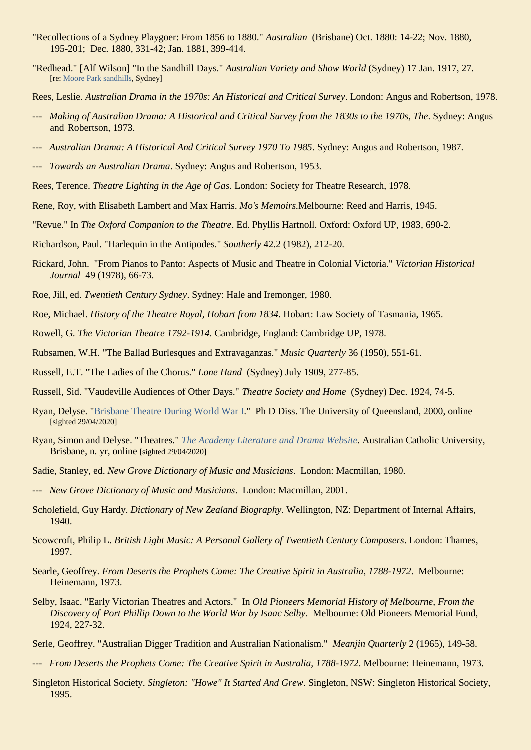- "Recollections of a Sydney Playgoer: From 1856 to 1880." *Australian* (Brisbane) Oct. 1880: 14-22; Nov. 1880, 195-201; Dec. 1880, 331-42; Jan. 1881, 399-414.
- "Redhead." [Alf Wilson] "In the Sandhill Days." *Australian Variety and Show World* (Sydney) 17 Jan. 1917, 27. [re[: Moore Park sandhills,](https://ozvta.com/industry-misc-2/7/) Sydney]
- Rees, Leslie. *Australian Drama in the 1970s: An Historical and Critical Survey*. London: Angus and Robertson, 1978.
- --- *Making of Australian Drama: A Historical and Critical Survey from the 1830s to the 1970s, The*. Sydney: Angus and Robertson, 1973.
- --- *Australian Drama: A Historical And Critical Survey 1970 To 1985*. Sydney: Angus and Robertson, 1987.
- --- *Towards an Australian Drama*. Sydney: Angus and Robertson, 1953.
- Rees, Terence. *Theatre Lighting in the Age of Gas*. London: Society for Theatre Research, 1978.
- Rene, Roy, with Elisabeth Lambert and Max Harris. *Mo's Memoirs.*Melbourne: Reed and Harris, 1945.
- "Revue." In *The Oxford Companion to the Theatre*. Ed. Phyllis Hartnoll. Oxford: Oxford UP, 1983, 690-2.
- Richardson, Paul. "Harlequin in the Antipodes." *Southerly* 42.2 (1982), 212-20.
- Rickard, John. "From Pianos to Panto: Aspects of Music and Theatre in Colonial Victoria." *Victorian Historical Journal* 49 (1978), 66-73.
- Roe, Jill, ed. *Twentieth Century Sydney*. Sydney: Hale and Iremonger, 1980.
- Roe, Michael. *History of the Theatre Royal, Hobart from 1834*. Hobart: Law Society of Tasmania, 1965.
- Rowell, G. *The Victorian Theatre 1792-1914*. Cambridge, England: Cambridge UP, 1978.
- Rubsamen, W.H. "The Ballad Burlesques and Extravaganzas." *Music Quarterly* 36 (1950), 551-61.
- Russell, E.T. "The Ladies of the Chorus." *Lone Hand* (Sydney) July 1909, 277-85.
- Russell, Sid. "Vaudeville Audiences of Other Days." *Theatre Society and Home* (Sydney) Dec. 1924, 74-5.
- Ryan, Delyse. ["Brisbane Theatre During World War I.](https://espace.library.uq.edu.au/view/UQ:193253)" Ph D Diss. The University of Queensland, 2000, online [sighted 29/04/2020]
- Ryan, Simon and Delyse. "Theatres." *[The Academy Literature and Drama Website](https://resource.acu.edu.au/siryan/Academy/theatres/Theatres_main_page.htm)*. Australian Catholic University, Brisbane, n. yr, online [sighted 29/04/2020]
- Sadie, Stanley, ed. *New Grove Dictionary of Music and Musicians*. London: Macmillan, 1980.
- --- *New Grove Dictionary of Music and Musicians*. London: Macmillan, 2001.
- Scholefield, Guy Hardy. *Dictionary of New Zealand Biography*. Wellington, NZ: Department of Internal Affairs, 1940.
- Scowcroft, Philip L. *British Light Music: A Personal Gallery of Twentieth Century Composers*. London: Thames, 1997.
- Searle, Geoffrey. *From Deserts the Prophets Come: The Creative Spirit in Australia, 1788-1972*. Melbourne: Heinemann, 1973.
- Selby, Isaac. "Early Victorian Theatres and Actors." In *Old Pioneers Memorial History of Melbourne, From the Discovery of Port Phillip Down to the World War by Isaac Selby*. Melbourne: Old Pioneers Memorial Fund, 1924, 227-32.
- Serle, Geoffrey. "Australian Digger Tradition and Australian Nationalism." *Meanjin Quarterly* 2 (1965), 149-58.
- --- *From Deserts the Prophets Come: The Creative Spirit in Australia, 1788-1972*. Melbourne: Heinemann, 1973.
- Singleton Historical Society. *Singleton: "Howe" It Started And Grew*. Singleton, NSW: Singleton Historical Society, 1995.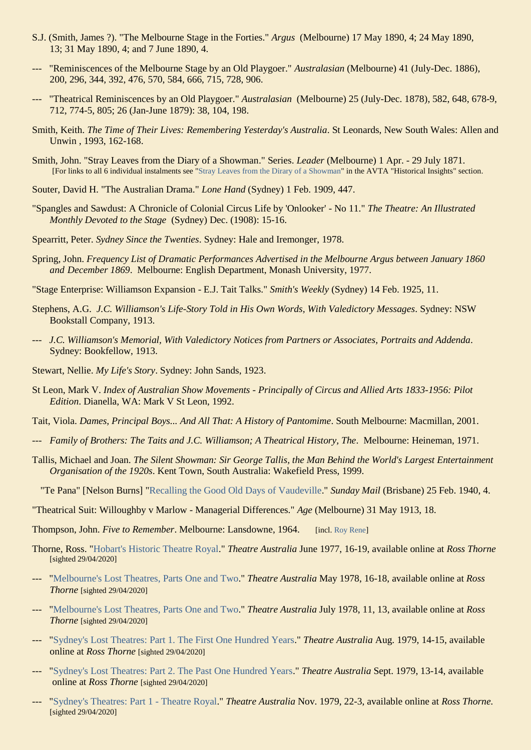- S.J. (Smith, James ?). "The Melbourne Stage in the Forties." *Argus* (Melbourne) 17 May 1890, 4; 24 May 1890, 13; 31 May 1890, 4; and 7 June 1890, 4.
- --- "Reminiscences of the Melbourne Stage by an Old Playgoer." *Australasian* (Melbourne) 41 (July-Dec. 1886), 200, 296, 344, 392, 476, 570, 584, 666, 715, 728, 906.
- --- "Theatrical Reminiscences by an Old Playgoer." *Australasian* (Melbourne) 25 (July-Dec. 1878), 582, 648, 678-9, 712, 774-5, 805; 26 (Jan-June 1879): 38, 104, 198.
- Smith, Keith. *The Time of Their Lives: Remembering Yesterday's Australia*. St Leonards, New South Wales: Allen and Unwin , 1993, 162-168.
- Smith, John. "Stray Leaves from the Diary of a Showman." Series. *Leader* (Melbourne) 1 Apr. 29 July 1871. [For links to all 6 individual instalments see ["Stray Leaves from the Dirary of a Showman"](https://ozvta.com/historical-insights/) in the AVTA "Historical Insights" section.
- Souter, David H. "The Australian Drama." *Lone Hand* (Sydney) 1 Feb. 1909, 447.
- "Spangles and Sawdust: A Chronicle of Colonial Circus Life by 'Onlooker' No 11." *The Theatre: An Illustrated Monthly Devoted to the Stage* (Sydney) Dec. (1908): 15-16.
- Spearritt, Peter. *Sydney Since the Twenties*. Sydney: Hale and Iremonger, 1978.
- Spring, John. *Frequency List of Dramatic Performances Advertised in the Melbourne Argus between January 1860 and December 1869*. Melbourne: English Department, Monash University, 1977.
- "Stage Enterprise: Williamson Expansion E.J. Tait Talks." *Smith's Weekly* (Sydney) 14 Feb. 1925, 11.
- Stephens, A.G. *J.C. Williamson's Life-Story Told in His Own Words, With Valedictory Messages*. Sydney: NSW Bookstall Company, 1913.
- --- *J.C. Williamson's Memorial, With Valedictory Notices from Partners or Associates, Portraits and Addenda*. Sydney: Bookfellow, 1913.
- Stewart, Nellie. *My Life's Story*. Sydney: John Sands, 1923.
- St Leon, Mark V. *Index of Australian Show Movements - Principally of Circus and Allied Arts 1833-1956: Pilot Edition*. Dianella, WA: Mark V St Leon, 1992.
- Tait, Viola. *Dames, Principal Boys... And All That: A History of Pantomime*. South Melbourne: Macmillan, 2001.
- --- *Family of Brothers: The Taits and J.C. Williamson; A Theatrical History, The*. Melbourne: Heineman, 1971.
- Tallis, Michael and Joan. *The Silent Showman: Sir George Tallis, the Man Behind the World's Largest Entertainment Organisation of the 1920s*. Kent Town, South Australia: Wakefield Press, 1999.
	- "Te Pana" [Nelson Burns] ["Recalling the Good Old Days of Vaudeville.](http://trove.nla.gov.au/newspaper/article/98247870)" *Sunday Mail* (Brisbane) 25 Feb. 1940, 4.
- "Theatrical Suit: Willoughby v Marlow Managerial Differences." *Age* (Melbourne) 31 May 1913, 18.
- Thompson, John. *Five to Remember*. Melbourne: Lansdowne, 1964. [incl[. Roy Rene\]](https://ozvta.com/practitioners-r/)
- Thorne, Ross. ["Hobart's Historic Theatre Royal.](http://www.rossthorne.com/downloads/HOBART_S.PDF)" *Theatre Australia* June 1977, 16-19, available online at *Ross Thorne* [sighted 29/04/2020]
- --- ["Melbourne's Lost Theatres, Parts One and Two.](http://www.rossthorne.com/downloads/Melbourne%20Lost%20Theatres.pdf)" *Theatre Australia* May 1978, 16-18, available online at *Ross Thorne* [sighted 29/04/2020]
- --- ["Melbourne's Lost Theatres, Parts One and Two.](http://www.rossthorne.com/downloads/Melbourne%20Lost%20Theatres.pdf)" *Theatre Australia* July 1978, 11, 13, available online at *Ross Thorne* [sighted 29/04/2020]
- --- ["Sydney's Lost Theatres: Part 1. The First One Hundred Years.](http://www.rossthorne.com/downloads/SYDNEY_lost.PDF)" *Theatre Australia* Aug. 1979, 14-15, available online at *Ross Thorne* [sighted 29/04/2020]
- --- ["Sydney's Lost Theatres: Part 2. The Past One Hundred Years.](http://www.rossthorne.com/downloads/SYDNEY_lost.PDF)" *Theatre Australia* Sept. 1979, 13-14, available online at *Ross Thorne* [sighted 29/04/2020]
- ["Sydney's Theatres: Part 1 -](http://www.rossthorne.com/downloads/SYDNEY__.PDF) Theatre Royal." *Theatre Australia* Nov. 1979, 22-3, available online at *Ross Thorne*. [sighted 29/04/2020]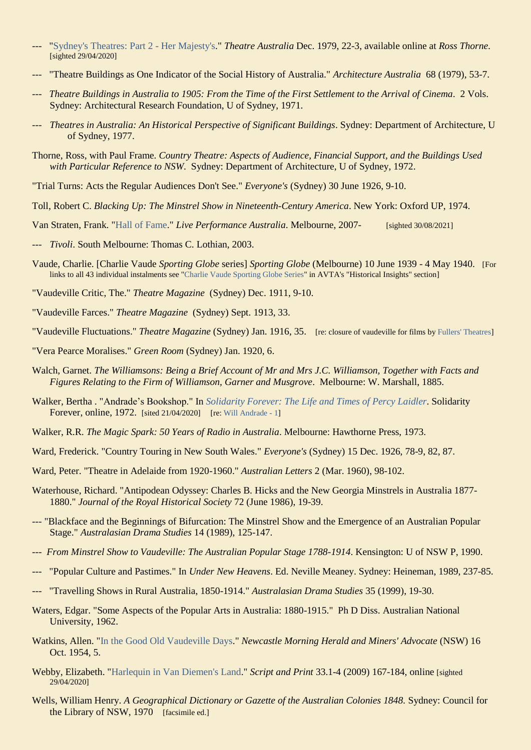- ["Sydney's Theatres: Part 2 -](http://www.rossthorne.com/downloads/SYDNEY__.PDF) Her Majesty's." *Theatre Australia Dec.* 1979, 22-3, available online at *Ross Thorne*. [sighted 29/04/2020]
- --- "Theatre Buildings as One Indicator of the Social History of Australia." *Architecture Australia* 68 (1979), 53-7.
- --- *Theatre Buildings in Australia to 1905: From the Time of the First Settlement to the Arrival of Cinema*. 2 Vols. Sydney: Architectural Research Foundation, U of Sydney, 1971.
- Theatres in Australia: An Historical Perspective of Significant Buildings. Sydney: Department of Architecture, U of Sydney, 1977.
- Thorne, Ross, with Paul Frame. *Country Theatre: Aspects of Audience, Financial Support, and the Buildings Used with Particular Reference to NSW*. Sydney: Department of Architecture, U of Sydney, 1972.
- "Trial Turns: Acts the Regular Audiences Don't See." *Everyone's* (Sydney) 30 June 1926, 9-10.
- Toll, Robert C. *Blacking Up: The Minstrel Show in Nineteenth-Century America*. New York: Oxford UP, 1974.
- Van Straten, Frank. ["Hall of Fame.](https://liveperformance.com.au/hall-of-fame/)" *Live Performance Australia*. Melbourne, 2007- [sighted 30/08/2021]
- --- *Tivoli*. South Melbourne: Thomas C. Lothian, 2003.
- Vaude, Charlie. [Charlie Vaude *Sporting Globe* series] *Sporting Globe* (Melbourne) 10 June 1939 4 May 1940. [For links to all 43 individual instalments see ["Charlie Vaude Sporting Globe Series"](https://ozvta.com/historical-insights/) in AVTA's "Historical Insights" section]
- "Vaudeville Critic, The." *Theatre Magazine* (Sydney) Dec. 1911, 9-10.
- "Vaudeville Farces." *Theatre Magazine* (Sydney) Sept. 1913, 33.
- "Vaudeville Fluctuations." *Theatre Magazine* (Sydney) Jan. 1916, 35. [re: closure of vaudeville for films by [Fullers' Theatres\]](https://ozvta.com/organisations-a-l/)
- "Vera Pearce Moralises." *Green Room* (Sydney) Jan. 1920, 6.
- Walch, Garnet. *The Williamsons: Being a Brief Account of Mr and Mrs J.C. Williamson, Together with Facts and Figures Relating to the Firm of Williamson, Garner and Musgrove*. Melbourne: W. Marshall, 1885.
- Walker, Bertha . "Andrade's Bookshop." In *[Solidarity Forever: The Life and Times of Percy Laidler](http://www.solidarityforeverbook.com/cgi-bin/showchapter.pl?c=10)*. Solidarity Forever, online, 1972. [sited 21/04/2020] [re: [Will Andrade -](https://ozvta.com/industry-misc-1/3/) 1]
- Walker, R.R. *The Magic Spark: 50 Years of Radio in Australia*. Melbourne: Hawthorne Press, 1973.
- Ward, Frederick. "Country Touring in New South Wales." *Everyone's* (Sydney) 15 Dec. 1926, 78-9, 82, 87.
- Ward, Peter. "Theatre in Adelaide from 1920-1960." *Australian Letters* 2 (Mar. 1960), 98-102.
- Waterhouse, Richard. "Antipodean Odyssey: Charles B. Hicks and the New Georgia Minstrels in Australia 1877- 1880." *Journal of the Royal Historical Society* 72 (June 1986), 19-39.
- --- "Blackface and the Beginnings of Bifurcation: The Minstrel Show and the Emergence of an Australian Popular Stage." *Australasian Drama Studies* 14 (1989), 125-147.
- --- *From Minstrel Show to Vaudeville: The Australian Popular Stage 1788-1914*. Kensington: U of NSW P, 1990.
- --- "Popular Culture and Pastimes." In *Under New Heavens*. Ed. Neville Meaney. Sydney: Heineman, 1989, 237-85.
- --- "Travelling Shows in Rural Australia, 1850-1914." *Australasian Drama Studies* 35 (1999), 19-30.
- Waters, Edgar. "Some Aspects of the Popular Arts in Australia: 1880-1915." Ph D Diss. Australian National University, 1962.
- Watkins, Allen. ["In the Good Old Vaudeville Days.](http://nla.gov.au/nla.news-article134091817)" *Newcastle Morning Herald and Miners' Advocate* (NSW) 16 Oct. 1954, 5.
- Webby, Elizabeth. ["Harlequin in Van Diemen's Land.](http://www.bsanz.org/download/script-and-print/script_and_print_vol._33_nos._1-4_(2009)/SP_2009-Vol33-Nos1-4_pp176-84.pdf)" *Script and Print* 33.1-4 (2009) 167-184, online [sighted 29/04/2020]
- Wells, William Henry. *A Geographical Dictionary or Gazette of the Australian Colonies 1848.* Sydney: Council for the Library of NSW, 1970 [facsimile ed.]